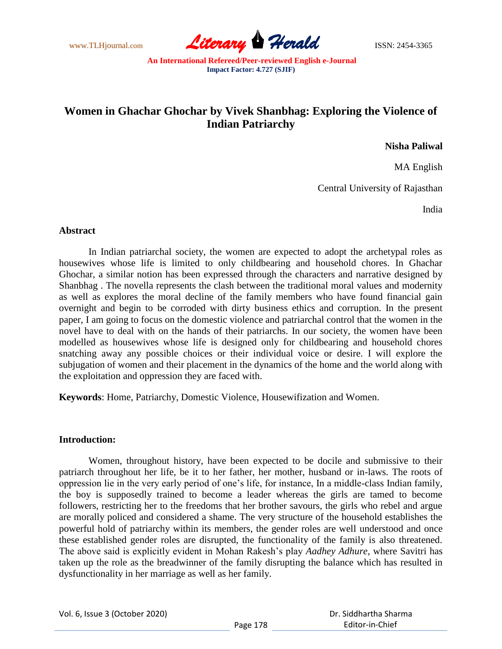www.TLHjournal.com **Literary Herald Herald ISSN: 2454-3365** 

# **Women in Ghachar Ghochar by Vivek Shanbhag: Exploring the Violence of Indian Patriarchy**

**Nisha Paliwal**

MA English

Central University of Rajasthan

India

# **Abstract**

In Indian patriarchal society, the women are expected to adopt the archetypal roles as housewives whose life is limited to only childbearing and household chores. In Ghachar Ghochar, a similar notion has been expressed through the characters and narrative designed by Shanbhag . The novella represents the clash between the traditional moral values and modernity as well as explores the moral decline of the family members who have found financial gain overnight and begin to be corroded with dirty business ethics and corruption. In the present paper, I am going to focus on the domestic violence and patriarchal control that the women in the novel have to deal with on the hands of their patriarchs. In our society, the women have been modelled as housewives whose life is designed only for childbearing and household chores snatching away any possible choices or their individual voice or desire. I will explore the subjugation of women and their placement in the dynamics of the home and the world along with the exploitation and oppression they are faced with.

**Keywords**: Home, Patriarchy, Domestic Violence, Housewifization and Women.

# **Introduction:**

Women, throughout history, have been expected to be docile and submissive to their patriarch throughout her life, be it to her father, her mother, husband or in-laws. The roots of oppression lie in the very early period of one"s life, for instance, In a middle-class Indian family, the boy is supposedly trained to become a leader whereas the girls are tamed to become followers, restricting her to the freedoms that her brother savours, the girls who rebel and argue are morally policed and considered a shame. The very structure of the household establishes the powerful hold of patriarchy within its members, the gender roles are well understood and once these established gender roles are disrupted, the functionality of the family is also threatened. The above said is explicitly evident in Mohan Rakesh"s play *Aadhey Adhure*, where Savitri has taken up the role as the breadwinner of the family disrupting the balance which has resulted in dysfunctionality in her marriage as well as her family.

|  | Vol. 6, Issue 3 (October 2020) |
|--|--------------------------------|
|--|--------------------------------|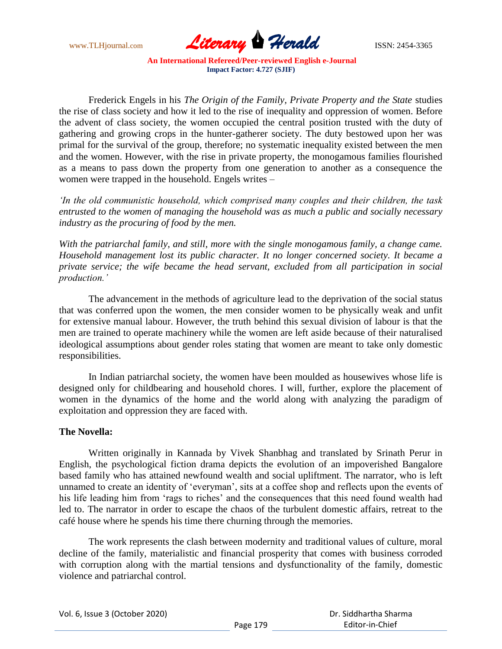

Frederick Engels in his *The Origin of the Family, Private Property and the State* studies the rise of class society and how it led to the rise of inequality and oppression of women. Before the advent of class society, the women occupied the central position trusted with the duty of gathering and growing crops in the hunter-gatherer society. The duty bestowed upon her was primal for the survival of the group, therefore; no systematic inequality existed between the men and the women. However, with the rise in private property, the monogamous families flourished as a means to pass down the property from one generation to another as a consequence the women were trapped in the household. Engels writes –

*'In the old communistic household, which comprised many couples and their children, the task entrusted to the women of managing the household was as much a public and socially necessary industry as the procuring of food by the men.*

*With the patriarchal family, and still, more with the single monogamous family, a change came. Household management lost its public character. It no longer concerned society. It became a private service; the wife became the head servant, excluded from all participation in social production.'*

The advancement in the methods of agriculture lead to the deprivation of the social status that was conferred upon the women, the men consider women to be physically weak and unfit for extensive manual labour. However, the truth behind this sexual division of labour is that the men are trained to operate machinery while the women are left aside because of their naturalised ideological assumptions about gender roles stating that women are meant to take only domestic responsibilities.

In Indian patriarchal society, the women have been moulded as housewives whose life is designed only for childbearing and household chores. I will, further, explore the placement of women in the dynamics of the home and the world along with analyzing the paradigm of exploitation and oppression they are faced with.

# **The Novella:**

Written originally in Kannada by Vivek Shanbhag and translated by Srinath Perur in English, the psychological fiction drama depicts the evolution of an impoverished Bangalore based family who has attained newfound wealth and social upliftment. The narrator, who is left unnamed to create an identity of 'everyman', sits at a coffee shop and reflects upon the events of his life leading him from 'rags to riches' and the consequences that this need found wealth had led to. The narrator in order to escape the chaos of the turbulent domestic affairs, retreat to the café house where he spends his time there churning through the memories.

The work represents the clash between modernity and traditional values of culture, moral decline of the family, materialistic and financial prosperity that comes with business corroded with corruption along with the martial tensions and dysfunctionality of the family, domestic violence and patriarchal control.

|  | Vol. 6, Issue 3 (October 2020) |
|--|--------------------------------|
|--|--------------------------------|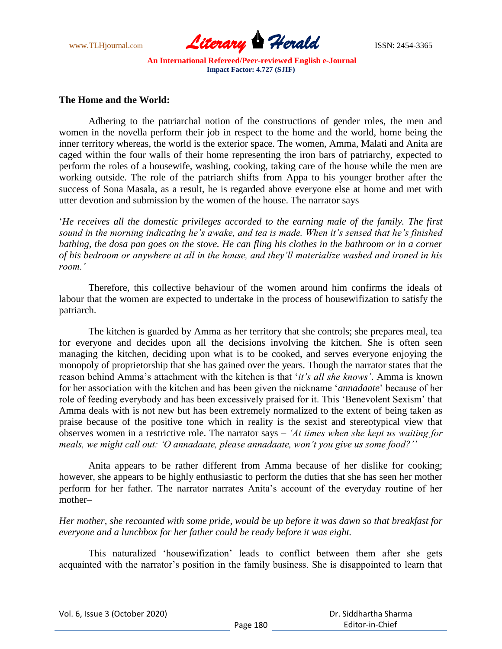

# **The Home and the World:**

Adhering to the patriarchal notion of the constructions of gender roles, the men and women in the novella perform their job in respect to the home and the world, home being the inner territory whereas, the world is the exterior space. The women, Amma, Malati and Anita are caged within the four walls of their home representing the iron bars of patriarchy, expected to perform the roles of a housewife, washing, cooking, taking care of the house while the men are working outside. The role of the patriarch shifts from Appa to his younger brother after the success of Sona Masala, as a result, he is regarded above everyone else at home and met with utter devotion and submission by the women of the house. The narrator says –

"*He receives all the domestic privileges accorded to the earning male of the family. The first sound in the morning indicating he's awake, and tea is made. When it's sensed that he's finished bathing, the dosa pan goes on the stove. He can fling his clothes in the bathroom or in a corner of his bedroom or anywhere at all in the house, and they'll materialize washed and ironed in his room.'*

Therefore, this collective behaviour of the women around him confirms the ideals of labour that the women are expected to undertake in the process of housewifization to satisfy the patriarch.

The kitchen is guarded by Amma as her territory that she controls; she prepares meal, tea for everyone and decides upon all the decisions involving the kitchen. She is often seen managing the kitchen, deciding upon what is to be cooked, and serves everyone enjoying the monopoly of proprietorship that she has gained over the years. Though the narrator states that the reason behind Amma"s attachment with the kitchen is that "*it's all she knows'*. Amma is known for her association with the kitchen and has been given the nickname "*annadaate*" because of her role of feeding everybody and has been excessively praised for it. This "Benevolent Sexism" that Amma deals with is not new but has been extremely normalized to the extent of being taken as praise because of the positive tone which in reality is the sexist and stereotypical view that observes women in a restrictive role. The narrator says – *'At times when she kept us waiting for meals, we might call out: 'O annadaate, please annadaate, won't you give us some food?''*

Anita appears to be rather different from Amma because of her dislike for cooking; however, she appears to be highly enthusiastic to perform the duties that she has seen her mother perform for her father. The narrator narrates Anita"s account of the everyday routine of her mother–

*Her mother, she recounted with some pride, would be up before it was dawn so that breakfast for everyone and a lunchbox for her father could be ready before it was eight.*

This naturalized "housewifization" leads to conflict between them after she gets acquainted with the narrator's position in the family business. She is disappointed to learn that

Vol. 6, Issue 3 (October 2020)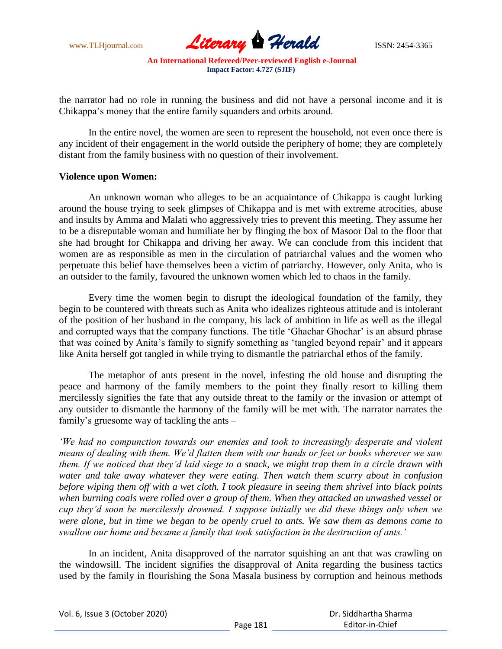

the narrator had no role in running the business and did not have a personal income and it is Chikappa"s money that the entire family squanders and orbits around.

In the entire novel, the women are seen to represent the household, not even once there is any incident of their engagement in the world outside the periphery of home; they are completely distant from the family business with no question of their involvement.

#### **Violence upon Women:**

An unknown woman who alleges to be an acquaintance of Chikappa is caught lurking around the house trying to seek glimpses of Chikappa and is met with extreme atrocities, abuse and insults by Amma and Malati who aggressively tries to prevent this meeting. They assume her to be a disreputable woman and humiliate her by flinging the box of Masoor Dal to the floor that she had brought for Chikappa and driving her away. We can conclude from this incident that women are as responsible as men in the circulation of patriarchal values and the women who perpetuate this belief have themselves been a victim of patriarchy. However, only Anita, who is an outsider to the family, favoured the unknown women which led to chaos in the family.

Every time the women begin to disrupt the ideological foundation of the family, they begin to be countered with threats such as Anita who idealizes righteous attitude and is intolerant of the position of her husband in the company, his lack of ambition in life as well as the illegal and corrupted ways that the company functions. The title 'Ghachar Ghochar' is an absurd phrase that was coined by Anita"s family to signify something as "tangled beyond repair" and it appears like Anita herself got tangled in while trying to dismantle the patriarchal ethos of the family.

The metaphor of ants present in the novel, infesting the old house and disrupting the peace and harmony of the family members to the point they finally resort to killing them mercilessly signifies the fate that any outside threat to the family or the invasion or attempt of any outsider to dismantle the harmony of the family will be met with. The narrator narrates the family"s gruesome way of tackling the ants –

*'We had no compunction towards our enemies and took to increasingly desperate and violent means of dealing with them. We'd flatten them with our hands or feet or books wherever we saw them. If we noticed that they'd laid siege to a snack, we might trap them in a circle drawn with water and take away whatever they were eating. Then watch them scurry about in confusion before wiping them off with a wet cloth. I took pleasure in seeing them shrivel into black points when burning coals were rolled over a group of them. When they attacked an unwashed vessel or cup they'd soon be mercilessly drowned. I suppose initially we did these things only when we were alone, but in time we began to be openly cruel to ants. We saw them as demons come to swallow our home and became a family that took satisfaction in the destruction of ants.'*

In an incident, Anita disapproved of the narrator squishing an ant that was crawling on the windowsill. The incident signifies the disapproval of Anita regarding the business tactics used by the family in flourishing the Sona Masala business by corruption and heinous methods

| Vol. 6, Issue 3 (October 2020) |          | Dr. Siddhartha Sharma |
|--------------------------------|----------|-----------------------|
|                                | Page 181 | Editor-in-Chief       |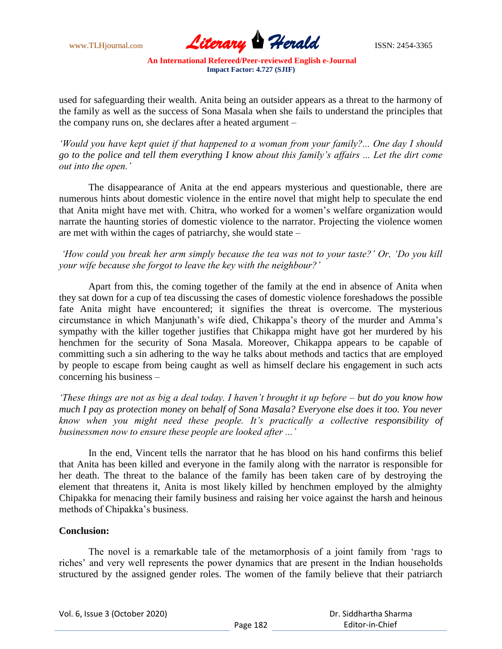

used for safeguarding their wealth. Anita being an outsider appears as a threat to the harmony of the family as well as the success of Sona Masala when she fails to understand the principles that the company runs on, she declares after a heated argument –

*'Would you have kept quiet if that happened to a woman from your family?... One day I should go to the police and tell them everything I know about this family's affairs ... Let the dirt come out into the open.'*

The disappearance of Anita at the end appears mysterious and questionable, there are numerous hints about domestic violence in the entire novel that might help to speculate the end that Anita might have met with. Chitra, who worked for a women"s welfare organization would narrate the haunting stories of domestic violence to the narrator. Projecting the violence women are met with within the cages of patriarchy, she would state –

*'How could you break her arm simply because the tea was not to your taste?' Or, 'Do you kill your wife because she forgot to leave the key with the neighbour?'*

Apart from this, the coming together of the family at the end in absence of Anita when they sat down for a cup of tea discussing the cases of domestic violence foreshadows the possible fate Anita might have encountered; it signifies the threat is overcome. The mysterious circumstance in which Manjunath"s wife died, Chikappa"s theory of the murder and Amma"s sympathy with the killer together justifies that Chikappa might have got her murdered by his henchmen for the security of Sona Masala. Moreover, Chikappa appears to be capable of committing such a sin adhering to the way he talks about methods and tactics that are employed by people to escape from being caught as well as himself declare his engagement in such acts concerning his business –

*'These things are not as big a deal today. I haven't brought it up before – but do you know how much I pay as protection money on behalf of Sona Masala? Everyone else does it too. You never know when you might need these people. It's practically a collective responsibility of businessmen now to ensure these people are looked after ...'*

In the end, Vincent tells the narrator that he has blood on his hand confirms this belief that Anita has been killed and everyone in the family along with the narrator is responsible for her death. The threat to the balance of the family has been taken care of by destroying the element that threatens it, Anita is most likely killed by henchmen employed by the almighty Chipakka for menacing their family business and raising her voice against the harsh and heinous methods of Chipakka"s business.

# **Conclusion:**

The novel is a remarkable tale of the metamorphosis of a joint family from "rags to riches" and very well represents the power dynamics that are present in the Indian households structured by the assigned gender roles. The women of the family believe that their patriarch

|  | Vol. 6, Issue 3 (October 2020) |
|--|--------------------------------|
|--|--------------------------------|

| Dr. Siddhartha Sharma |
|-----------------------|
| Editor-in-Chief       |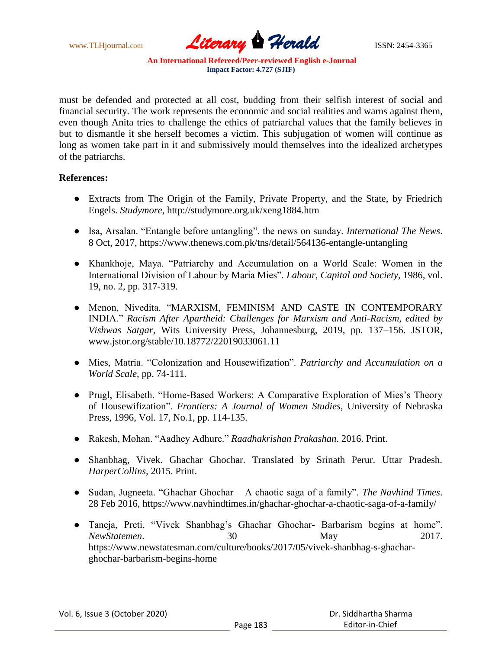

must be defended and protected at all cost, budding from their selfish interest of social and financial security. The work represents the economic and social realities and warns against them, even though Anita tries to challenge the ethics of patriarchal values that the family believes in but to dismantle it she herself becomes a victim. This subjugation of women will continue as long as women take part in it and submissively mould themselves into the idealized archetypes of the patriarchs.

# **References:**

- Extracts from The Origin of the Family, Private Property, and the State, by Friedrich Engels. *Studymore*, http://studymore.org.uk/xeng1884.htm
- Isa, Arsalan. "Entangle before untangling". the news on sunday. *International The News*. 8 Oct, 2017, https://www.thenews.com.pk/tns/detail/564136-entangle-untangling
- Khankhoje, Maya. "Patriarchy and Accumulation on a World Scale: Women in the International Division of Labour by Maria Mies". *Labour, Capital and Society*, 1986, vol. 19, no. 2, pp. 317-319.
- Menon, Nivedita. "MARXISM, FEMINISM AND CASTE IN CONTEMPORARY INDIA." *Racism After Apartheid: Challenges for Marxism and Anti-Racism, edited by Vishwas Satgar*, Wits University Press, Johannesburg, 2019, pp. 137–156. JSTOR, www.jstor.org/stable/10.18772/22019033061.11
- Mies, Matria. "Colonization and Housewifization". *Patriarchy and Accumulation on a World Scale*, pp. 74-111.
- Prugl, Elisabeth. "Home-Based Workers: A Comparative Exploration of Mies's Theory of Housewifization". *Frontiers: A Journal of Women Studies*, University of Nebraska Press, 1996, Vol. 17, No.1, pp. 114-135.
- Rakesh, Mohan. "Aadhey Adhure." *Raadhakrishan Prakashan*. 2016. Print.
- Shanbhag, Vivek. Ghachar Ghochar. Translated by Srinath Perur. Uttar Pradesh. *HarperCollins,* 2015. Print.
- Sudan, Jugneeta. "Ghachar Ghochar A chaotic saga of a family". *The Navhind Times*. 28 Feb 2016, https://www.navhindtimes.in/ghachar-ghochar-a-chaotic-saga-of-a-family/
- Taneja, Preti. "Vivek Shanbhag"s Ghachar Ghochar- Barbarism begins at home". *NewStatemen*. 30 May 2017. https://www.newstatesman.com/culture/books/2017/05/vivek-shanbhag-s-ghacharghochar-barbarism-begins-home